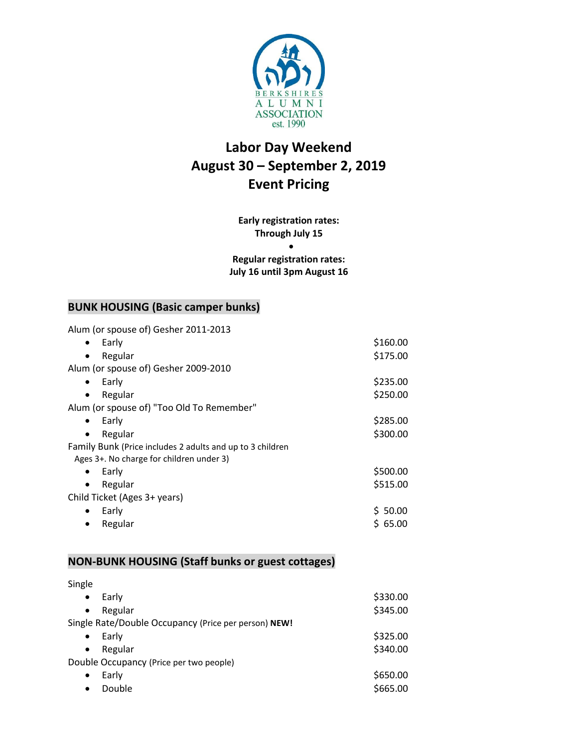

# **Labor Day Weekend August 30 – September 2, 2019 Event Pricing**

### **Early registration rates: Through July 15**

 $\bullet$ **Regular registration rates: July 16 until 3pm August 16**

### **BUNK HOUSING (Basic camper bunks)**

Alum (or spouse of) Gesher 2011-2013

| Early                                                     | \$160.00 |
|-----------------------------------------------------------|----------|
| Regular                                                   | \$175.00 |
| Alum (or spouse of) Gesher 2009-2010                      |          |
| Early<br>٠                                                | \$235.00 |
| Regular                                                   | \$250.00 |
| Alum (or spouse of) "Too Old To Remember"                 |          |
| Early<br>$\bullet$                                        | \$285.00 |
| Regular                                                   | \$300.00 |
| Family Bunk (Price includes 2 adults and up to 3 children |          |
| Ages 3+. No charge for children under 3)                  |          |
| Early<br>$\bullet$                                        | \$500.00 |
| Regular                                                   | \$515.00 |
| Child Ticket (Ages 3+ years)                              |          |
| Early<br>$\bullet$                                        | \$50.00  |
| Regular                                                   | \$65.00  |
|                                                           |          |

#### **NON-BUNK HOUSING (Staff bunks or guest cottages)**

Single  $\bullet$  Early  $\frac{1}{2}$  Early  $\frac{1}{2}$  Regular \$345.00 Single Rate/Double Occupancy (Price per person) **NEW!**  $\bullet$  Early  $\frac{1}{2}$  Early  $\frac{1}{2}$  Regular \$340.00 Double Occupancy (Price per two people)  $\bullet$  Early  $\lesssim 650.00$  $\bullet$  Double  $$665.00$